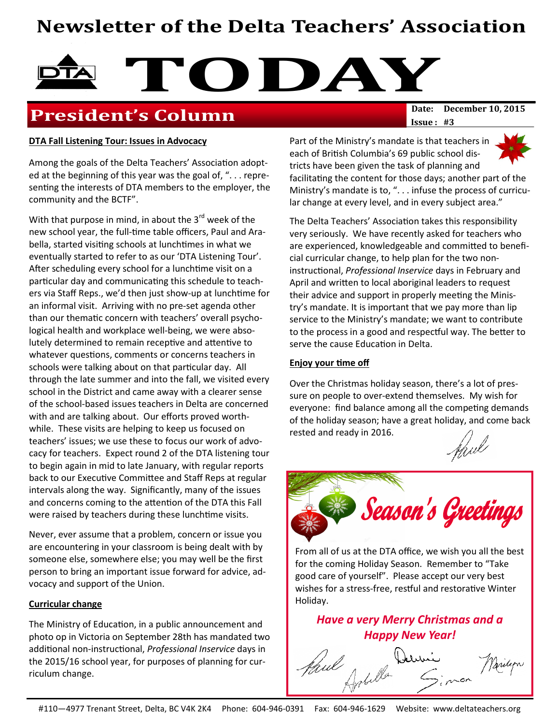## Newsletter of the Delta Teachers' Association



## **President's Column**

 $Issue: #3$ 

#### DTA Fall Listening Tour: Issues in Advocacy

Among the goals of the Delta Teachers' Association adopted at the beginning of this year was the goal of, ". . . representing the interests of DTA members to the employer, the community and the BCTF".

With that purpose in mind, in about the  $3<sup>rd</sup>$  week of the new school year, the full-time table officers, Paul and Arabella, started visiting schools at lunchtimes in what we eventually started to refer to as our 'DTA Listening Tour'. After scheduling every school for a lunchtime visit on a particular day and communicating this schedule to teachers via Staff Reps., we'd then just show-up at lunchtime for an informal visit. Arriving with no pre-set agenda other than our thematic concern with teachers' overall psychological health and workplace well-being, we were absolutely determined to remain receptive and attentive to whatever questions, comments or concerns teachers in schools were talking about on that particular day. All through the late summer and into the fall, we visited every school in the District and came away with a clearer sense of the school-based issues teachers in Delta are concerned with and are talking about. Our efforts proved worthwhile. These visits are helping to keep us focused on teachers' issues; we use these to focus our work of advocacy for teachers. Expect round 2 of the DTA listening tour to begin again in mid to late January, with regular reports back to our Executive Committee and Staff Reps at regular intervals along the way. Significantly, many of the issues and concerns coming to the attention of the DTA this Fall were raised by teachers during these lunchtime visits.

Never, ever assume that a problem, concern or issue you are encountering in your classroom is being dealt with by someone else, somewhere else; you may well be the first person to bring an important issue forward for advice, advocacy and support of the Union.

#### Curricular change

The Ministry of Education, in a public announcement and photo op in Victoria on September 28th has mandated two additional non-instructional, Professional Inservice days in the 2015/16 school year, for purposes of planning for curriculum change.

Part of the Ministry's mandate is that teachers in each of British Columbia's 69 public school districts have been given the task of planning and facilitating the content for those days; another part of the Ministry's mandate is to, ". . . infuse the process of curricular change at every level, and in every subject area."

The Delta Teachers' Association takes this responsibility very seriously. We have recently asked for teachers who are experienced, knowledgeable and committed to beneficial curricular change, to help plan for the two noninstructional, Professional Inservice days in February and April and written to local aboriginal leaders to request their advice and support in properly meeting the Ministry's mandate. It is important that we pay more than lip service to the Ministry's mandate; we want to contribute to the process in a good and respectful way. The better to serve the cause Education in Delta.

#### Enjoy your time off

Over the Christmas holiday season, there's a lot of pressure on people to over-extend themselves. My wish for everyone: find balance among all the competing demands of the holiday season; have a great holiday, and come back rested and ready in 2016.



From all of us at the DTA office, we wish you all the best for the coming Holiday Season. Remember to "Take good care of yourself". Please accept our very best wishes for a stress-free, restful and restorative Winter Holiday.

#### Have a very Merry Christmas and a Happy New Year!

Haul